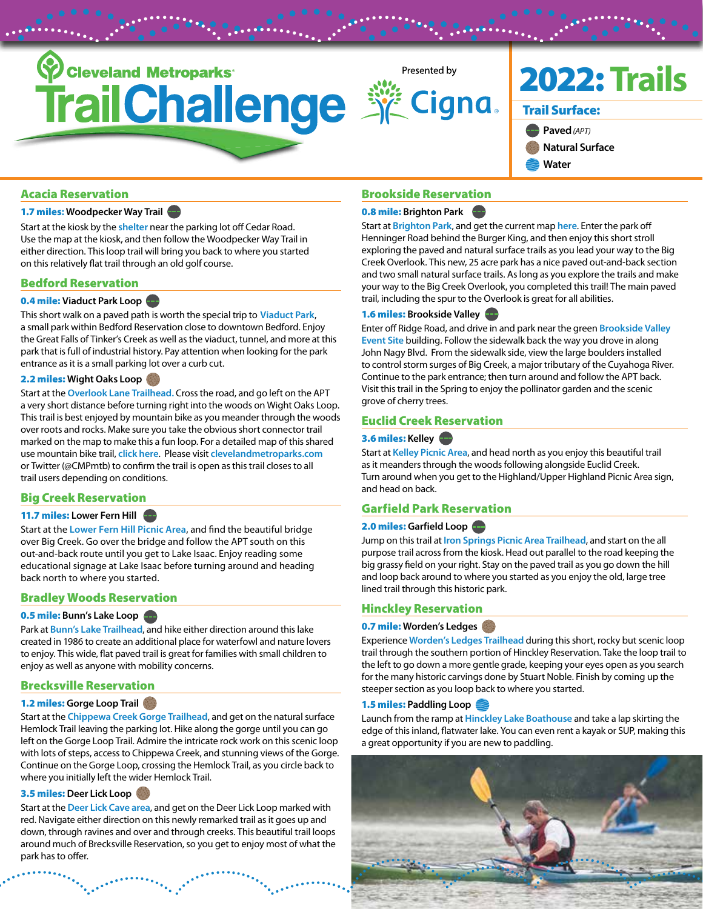

# [Acacia Reservation](https://www.clevelandmetroparks.com/parks/visit/parks/acacia-reservation)

### 1.7 miles**: Woodpecker Way Trail**

Start at the kiosk by the **[shelter](https://www.google.com/maps/place/41°30)** near the parking lot off Cedar Road. Use the map at the kiosk, and then follow the Woodpecker Way Trail in either direction. This loop trail will bring you back to where you started on this relatively flat trail through an old golf course.

### [Bedford Reservation](https://www.clevelandmetroparks.com/parks/visit/parks/bedford-reservation)

### 0.4 mile: **Viaduct Park Loop**

This short walk on a paved path is worth the special trip to **[Viaduct Park](https://www.google.com/maps?q=41.38617293,-81.53416041)**, a small park within Bedford Reservation close to downtown Bedford. Enjoy the Great Falls of Tinker's Creek as well as the viaduct, tunnel, and more at this park that is full of industrial history. Pay attention when looking for the park entrance as it is a small parking lot over a curb cut.

### 2.2 miles: **Wight Oaks Loop**

Start at the **[Overlook Lane Trailhead.](https://www.google.com/maps?q=41.37262942,-81.56541715)** Cross the road, and go left on the APT a very short distance before turning right into the woods on Wight Oaks Loop. This trail is best enjoyed by mountain bike as you meander through the woods over roots and rocks. Make sure you take the obvious short connector trail marked on the map to make this a fun loop. For a detailed map of this shared use mountain bike trail, **[click here](https://www.clevelandmetroparks.com/getmedia/36a25510-7e77-4431-8447-c340147de8b2/BedfordSingletrackMountainBikeTrailMap.pdf.ashx)**. Please visit **[clevelandmetroparks.com](http://clevelandmetroparks.com)** or Twitter (@CMPmtb) to confirm the trail is open as this trail closes to all trail users depending on conditions.

# [Big Creek Reservation](https://www.clevelandmetroparks.com/parks/visit/parks/big-creek-reservation)

### 11.7 miles: **Lower Fern Hill**

Start at the **[Lower Fern Hill Picnic Area](https://www.google.com/maps?q=41.41461,-81.75399)**, and find the beautiful bridge over Big Creek. Go over the bridge and follow the APT south on this out-and-back route until you get to Lake Isaac. Enjoy reading some educational signage at Lake Isaac before turning around and heading back north to where you started.

#### [Bradley Woods Reservation](https://www.clevelandmetroparks.com/parks/visit/parks/bradley-woods-reservation)

#### 0.5 mile: **Bunn's Lake Loop**

Park at **[Bunn's Lake Trailhead](https://www.google.com/maps?q=41.41878,-81.95106)**, and hike either direction around this lake created in 1986 to create an additional place for waterfowl and nature lovers to enjoy. This wide, flat paved trail is great for families with small children to enjoy as well as anyone with mobility concerns.

# [Brecksville Reservation](https://www.clevelandmetroparks.com/parks/visit/parks/brecksville-reservation)

#### 1.2 miles: **Gorge Loop Trail**

Start at the **[Chippewa Creek Gorge Trailhead](https://www.google.com/maps?q=41.31996,-81.62246)**, and get on the natural surface Hemlock Trail leaving the parking lot. Hike along the gorge until you can go left on the Gorge Loop Trail. Admire the intricate rock work on this scenic loop with lots of steps, access to Chippewa Creek, and stunning views of the Gorge. Continue on the Gorge Loop, crossing the Hemlock Trail, as you circle back to where you initially left the wider Hemlock Trail.

### 3.5 miles: **Deer Lick Loop**

Start at the **[Deer Lick Cave area](https://www.google.com/maps/place/41%C2%B018)**, and get on the Deer Lick Loop marked with red. Navigate either direction on this newly remarked trail as it goes up and down, through ravines and over and through creeks. This beautiful trail loops around much of Brecksville Reservation, so you get to enjoy most of what the park has to offer.

### [Brookside Reservation](https://www.clevelandmetroparks.com/parks/visit/parks/brookside-reservation)

### 0.8 mile: **Brighton Park**

Start at **[Brighton Park](https://www.google.com/maps/place/41°26)**, and get the current map **[here](https://www.clevelandmetroparks.com/getmedia/23310fe5-fe62-4b3b-b030-08dc9d9ab6cf/BrightonPark_Kiosk-Map.pdf.ashx)**. Enter the park off Henninger Road behind the Burger King, and then enjoy this short stroll exploring the paved and natural surface trails as you lead your way to the Big Creek Overlook. This new, 25 acre park has a nice paved out-and-back section and two small natural surface trails. As long as you explore the trails and make your way to the Big Creek Overlook, you completed this trail! The main paved trail, including the spur to the Overlook is great for all abilities.

#### 1.6 miles: **Brookside Valley**

Enter off Ridge Road, and drive in and park near the green **[Brookside Valley](https://www.google.com/maps?q=41.45028,-81.72155) [Event Site](https://www.google.com/maps?q=41.45028,-81.72155)** building. Follow the sidewalk back the way you drove in along John Nagy Blvd. From the sidewalk side, view the large boulders installed to control storm surges of Big Creek, a major tributary of the Cuyahoga River. Continue to the park entrance; then turn around and follow the APT back. Visit this trail in the Spring to enjoy the pollinator garden and the scenic grove of cherry trees.

#### [Euclid Creek Reservation](https://www.clevelandmetroparks.com/parks/visit/parks/euclid-creek-reservation)

#### 3.6 miles: **Kelley**

Start at **[Kelley Picnic Area](https://www.google.com/maps?q=41.53812148,-81.52240147)**, and head north as you enjoy this beautiful trail as it meanders through the woods following alongside Euclid Creek. Turn around when you get to the Highland/Upper Highland Picnic Area sign, and head on back.

#### [Garfield Park Reservation](https://www.clevelandmetroparks.com/parks/visit/parks/garfield-park-reservation)

### 2.0 miles: Garfield Loop

Jump on this trail at **[Iron Springs Picnic Area Trailhead](https://www.google.com/maps/place/41°25)**, and start on the all purpose trail across from the kiosk. Head out parallel to the road keeping the big grassy field on your right. Stay on the paved trail as you go down the hill and loop back around to where you started as you enjoy the old, large tree lined trail through this historic park.

#### [Hinckley Reservation](https://www.clevelandmetroparks.com/parks/visit/parks/hinckley-reservation)

### 0.7 mile: **Worden's Ledges**

Experience **[Worden's Ledges Trailhead](https://www.google.com/maps?q=41.20208,-81.71819)** during this short, rocky but scenic loop trail through the southern portion of Hinckley Reservation. Take the loop trail to the left to go down a more gentle grade, keeping your eyes open as you search for the many historic carvings done by Stuart Noble. Finish by coming up the steeper section as you loop back to where you started.

#### 1.5 miles: **Paddling Loop**

Launch from the ramp at **[Hinckley Lake Boathouse](https://www.google.com/maps?q=41.21817426,-81.71836631)** and take a lap skirting the edge of this inland, flatwater lake. You can even rent a kayak or SUP, making this a great opportunity if you are new to paddling.